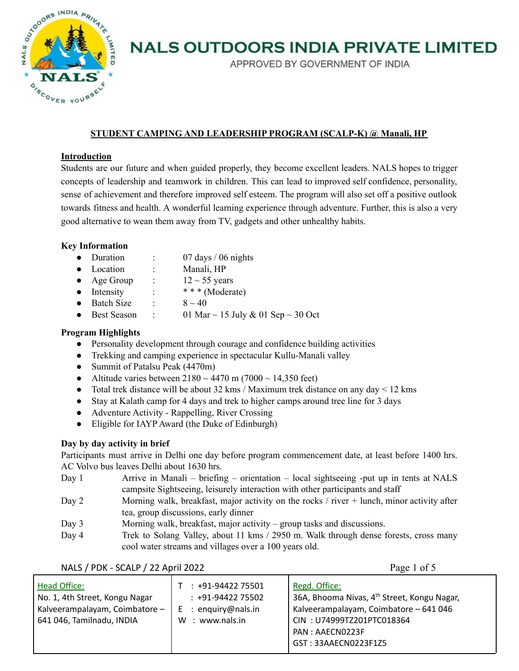

APPROVED BY GOVERNMENT OF INDIA

# **STUDENT CAMPING AND LEADERSHIP PROGRAM (SCALP-K) @ Manali, HP**

### **Introduction**

Students are our future and when guided properly, they become excellent leaders. NALS hopes to trigger concepts of leadership and teamwork in children. This can lead to improved self confidence, personality, sense of achievement and therefore improved self esteem. The program will also set off a positive outlook towards fitness and health. A wonderful learning experience through adventure. Further, this is also a very good alternative to wean them away from TV, gadgets and other unhealthy habits.

# **Key Information**

- Duration : 07 days / 06 nights
- Location : Manali, HP
- Age Group :  $12 \sim 55$  years
- Intensity : \*\*\* (Moderate)
- Batch Size :  $8 \sim 40$
- Best Season : 01 Mar  $\sim$  15 July & 01 Sep  $\sim$  30 Oct

# **Program Highlights**

- Personality development through courage and confidence building activities
- Trekking and camping experience in spectacular Kullu-Manali valley
- Summit of Patalsu Peak (4470m)
- Altitude varies between  $2180 \sim 4470$  m (7000  $\sim 14,350$  feet)
- Total trek distance will be about 32 kms / Maximum trek distance on any day < 12 kms
- Stay at Kalath camp for 4 days and trek to higher camps around tree line for 3 days
- Adventure Activity Rappelling, River Crossing
- Eligible for IAYP Award (the Duke of Edinburgh)

# **Day by day activity in brief**

Participants must arrive in Delhi one day before program commencement date, at least before 1400 hrs. AC Volvo bus leaves Delhi about 1630 hrs.

- Day 1 Arrive in Manali briefing orientation local sightseeing -put up in tents at NALS campsite Sightseeing, leisurely interaction with other participants and staff
- Day 2 Morning walk, breakfast, major activity on the rocks / river + lunch, minor activity after tea, group discussions, early dinner
- Day 3 Morning walk, breakfast, major activity group tasks and discussions.
- Day 4 Trek to Solang Valley, about 11 kms / 2950 m. Walk through dense forests, cross many cool water streams and villages over a 100 years old.

NALS  $/$  PDK - SCALP  $/$  22 April 2022 Page 1 of 5

| <b>Head Office:</b><br>No. 1, 4th Street, Kongu Nagar<br>Kalveerampalayam, Coimbatore -<br>641 046, Tamilnadu, INDIA | $: +91 - 9442275501$<br>$: +91 - 9442275502$<br>$E$ : enguiry@nals.in<br>$W:$ www.nals.in | Regd. Office:<br>36A, Bhooma Nivas, 4 <sup>th</sup> Street, Kongu Nagar,<br>Kalveerampalayam, Coimbatore - 641 046<br>CIN: U74999TZ201PTC018364 |
|----------------------------------------------------------------------------------------------------------------------|-------------------------------------------------------------------------------------------|-------------------------------------------------------------------------------------------------------------------------------------------------|
|                                                                                                                      |                                                                                           | PAN: AAECN0223F                                                                                                                                 |
|                                                                                                                      |                                                                                           | GST: 33AAECN0223F1Z5                                                                                                                            |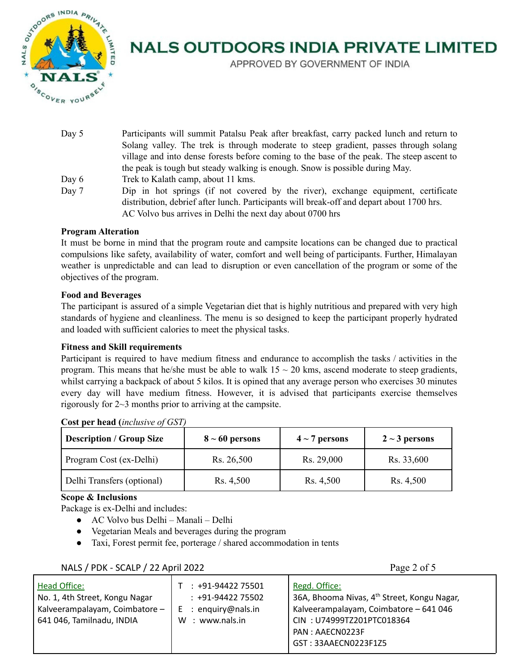

APPROVED BY GOVERNMENT OF INDIA

- Day 5 Participants will summit Patalsu Peak after breakfast, carry packed lunch and return to Solang valley. The trek is through moderate to steep gradient, passes through solang village and into dense forests before coming to the base of the peak. The steep ascent to the peak is tough but steady walking is enough. Snow is possible during May. Day 6 Trek to Kalath camp, about 11 kms. Day 7 Dip in hot springs (if not covered by the river), exchange equipment, certificate
- distribution, debrief after lunch. Participants will break-off and depart about 1700 hrs. AC Volvo bus arrives in Delhi the next day about 0700 hrs

# **Program Alteration**

It must be borne in mind that the program route and campsite locations can be changed due to practical compulsions like safety, availability of water, comfort and well being of participants. Further, Himalayan weather is unpredictable and can lead to disruption or even cancellation of the program or some of the objectives of the program.

### **Food and Beverages**

The participant is assured of a simple Vegetarian diet that is highly nutritious and prepared with very high standards of hygiene and cleanliness. The menu is so designed to keep the participant properly hydrated and loaded with sufficient calories to meet the physical tasks.

# **Fitness and Skill requirements**

Participant is required to have medium fitness and endurance to accomplish the tasks / activities in the program. This means that he/she must be able to walk  $15 \sim 20$  kms, ascend moderate to steep gradients, whilst carrying a backpack of about 5 kilos. It is opined that any average person who exercises 30 minutes every day will have medium fitness. However, it is advised that participants exercise themselves rigorously for 2~3 months prior to arriving at the campsite.

| <b>Description / Group Size</b> | $8 \sim 60$ persons | $4 \sim 7$ persons | $2 \sim 3$ persons |
|---------------------------------|---------------------|--------------------|--------------------|
| Program Cost (ex-Delhi)         | Rs. 26,500          | Rs. 29,000         | Rs. 33,600         |
| Delhi Transfers (optional)      | Rs. 4,500           | Rs. 4,500          | Rs. 4,500          |

# **Cost per head (***inclusive of GST)*

#### **Scope & Inclusions**

Package is ex-Delhi and includes:

- AC Volvo bus Delhi Manali Delhi
- Vegetarian Meals and beverages during the program
- Taxi, Forest permit fee, porterage / shared accommodation in tents

NALS  $/$  PDK - SCALP  $/$  22 April 2022 Page 2 of 5

| Head Office:<br>No. 1, 4th Street, Kongu Nagar<br>Kalveerampalayam, Coimbatore -<br>641 046, Tamilnadu, INDIA | $: +91-9442275501$<br>$: +91 - 9442275502$<br>: enguiry@nals.in<br>E<br>: www.nals.in<br>W | Regd. Office:<br>36A, Bhooma Nivas, 4 <sup>th</sup> Street, Kongu Nagar,<br>Kalveerampalayam, Coimbatore - 641 046<br>CIN: U74999TZ201PTC018364 |
|---------------------------------------------------------------------------------------------------------------|--------------------------------------------------------------------------------------------|-------------------------------------------------------------------------------------------------------------------------------------------------|
|                                                                                                               |                                                                                            | PAN: AAECN0223F                                                                                                                                 |
|                                                                                                               |                                                                                            | GST: 33AAECN0223F1Z5                                                                                                                            |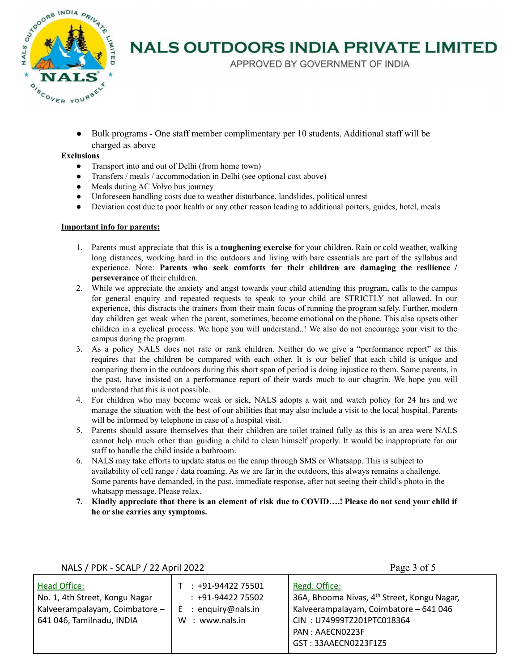

APPROVED BY GOVERNMENT OF INDIA

Bulk programs - One staff member complimentary per 10 students. Additional staff will be charged as above

#### **Exclusions**

- Transport into and out of Delhi (from home town)
- Transfers / meals / accommodation in Delhi (see optional cost above)
- Meals during AC Volvo bus journey
- Unforeseen handling costs due to weather disturbance, landslides, political unrest
- Deviation cost due to poor health or any other reason leading to additional porters, guides, hotel, meals

#### **Important info for parents:**

- 1. Parents must appreciate that this is a **toughening exercise** for your children. Rain or cold weather, walking long distances, working hard in the outdoors and living with bare essentials are part of the syllabus and experience. Note: **Parents who seek comforts for their children are damaging the resilience / perseverance** of their children.
- 2. While we appreciate the anxiety and angst towards your child attending this program, calls to the campus for general enquiry and repeated requests to speak to your child are STRICTLY not allowed. In our experience, this distracts the trainers from their main focus of running the program safely. Further, modern day children get weak when the parent, sometimes, become emotional on the phone. This also upsets other children in a cyclical process. We hope you will understand..! We also do not encourage your visit to the campus during the program.
- 3. As a policy NALS does not rate or rank children. Neither do we give a "performance report" as this requires that the children be compared with each other. It is our belief that each child is unique and comparing them in the outdoors during this short span of period is doing injustice to them. Some parents, in the past, have insisted on a performance report of their wards much to our chagrin. We hope you will understand that this is not possible.
- 4. For children who may become weak or sick, NALS adopts a wait and watch policy for 24 hrs and we manage the situation with the best of our abilities that may also include a visit to the local hospital. Parents will be informed by telephone in case of a hospital visit.
- 5. Parents should assure themselves that their children are toilet trained fully as this is an area were NALS cannot help much other than guiding a child to clean himself properly. It would be inappropriate for our staff to handle the child inside a bathroom.
- 6. NALS may take efforts to update status on the camp through SMS or Whatsapp. This is subject to availability of cell range / data roaming. As we are far in the outdoors, this always remains a challenge. Some parents have demanded, in the past, immediate response, after not seeing their child's photo in the whatsapp message. Please relax.
- 7. Kindly appreciate that there is an element of risk due to COVID....! Please do not send your child if **he or she carries any symptoms.**

| NALS / PDK - SCALP / 22 April 2022 |  |
|------------------------------------|--|
|                                    |  |

Page 3 of 5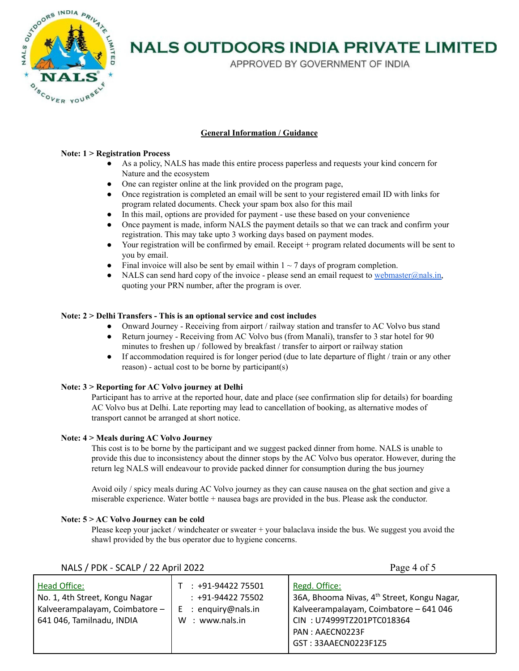

APPROVED BY GOVERNMENT OF INDIA

### **General Information / Guidance**

#### **Note: 1 > Registration Process**

- As a policy, NALS has made this entire process paperless and requests your kind concern for Nature and the ecosystem
- One can register online at the link provided on the program page,
- Once registration is completed an email will be sent to your registered email ID with links for program related documents. Check your spam box also for this mail
- In this mail, options are provided for payment use these based on your convenience
- Once payment is made, inform NALS the payment details so that we can track and confirm your registration. This may take upto 3 working days based on payment modes.
- Your registration will be confirmed by email. Receipt + program related documents will be sent to you by email.
- Final invoice will also be sent by email within  $1 \sim 7$  days of program completion.
- NALS can send hard copy of the invoice please send an email request to [webmaster@nals.in,](mailto:webmaster@nals.in) quoting your PRN number, after the program is over.

#### **Note: 2 > Delhi Transfers - This is an optional service and cost includes**

- Onward Journey Receiving from airport / railway station and transfer to AC Volvo bus stand
- Return journey Receiving from AC Volvo bus (from Manali), transfer to 3 star hotel for 90 minutes to freshen up / followed by breakfast / transfer to airport or railway station
- If accommodation required is for longer period (due to late departure of flight / train or any other reason) - actual cost to be borne by participant(s)

#### **Note: 3 > Reporting for AC Volvo journey at Delhi**

Participant has to arrive at the reported hour, date and place (see confirmation slip for details) for boarding AC Volvo bus at Delhi. Late reporting may lead to cancellation of booking, as alternative modes of transport cannot be arranged at short notice.

#### **Note: 4 > Meals during AC Volvo Journey**

This cost is to be borne by the participant and we suggest packed dinner from home. NALS is unable to provide this due to inconsistency about the dinner stops by the AC Volvo bus operator. However, during the return leg NALS will endeavour to provide packed dinner for consumption during the bus journey

Avoid oily / spicy meals during AC Volvo journey as they can cause nausea on the ghat section and give a miserable experience. Water bottle + nausea bags are provided in the bus. Please ask the conductor.

### **Note: 5 > AC Volvo Journey can be cold**

Please keep your jacket / windcheater or sweater + your balaclava inside the bus. We suggest you avoid the shawl provided by the bus operator due to hygiene concerns.

NALS / PDK - SCALP / 22 April 2022 **Page 4 of 5** Head Office: No. 1, 4th Street, Kongu Nagar Kalveerampalayam, Coimbatore – 641 046, Tamilnadu, INDIA T : +91-94422 75501 : +91-94422 75502 E : enquiry@nals.in W : www.nals.in Regd. Office: 36A, Bhooma Nivas, 4<sup>th</sup> Street, Kongu Nagar, Kalveerampalayam, Coimbatore – 641 046 CIN : U74999TZ201PTC018364 PAN : AAECN0223F GST : 33AAECN0223F1Z5